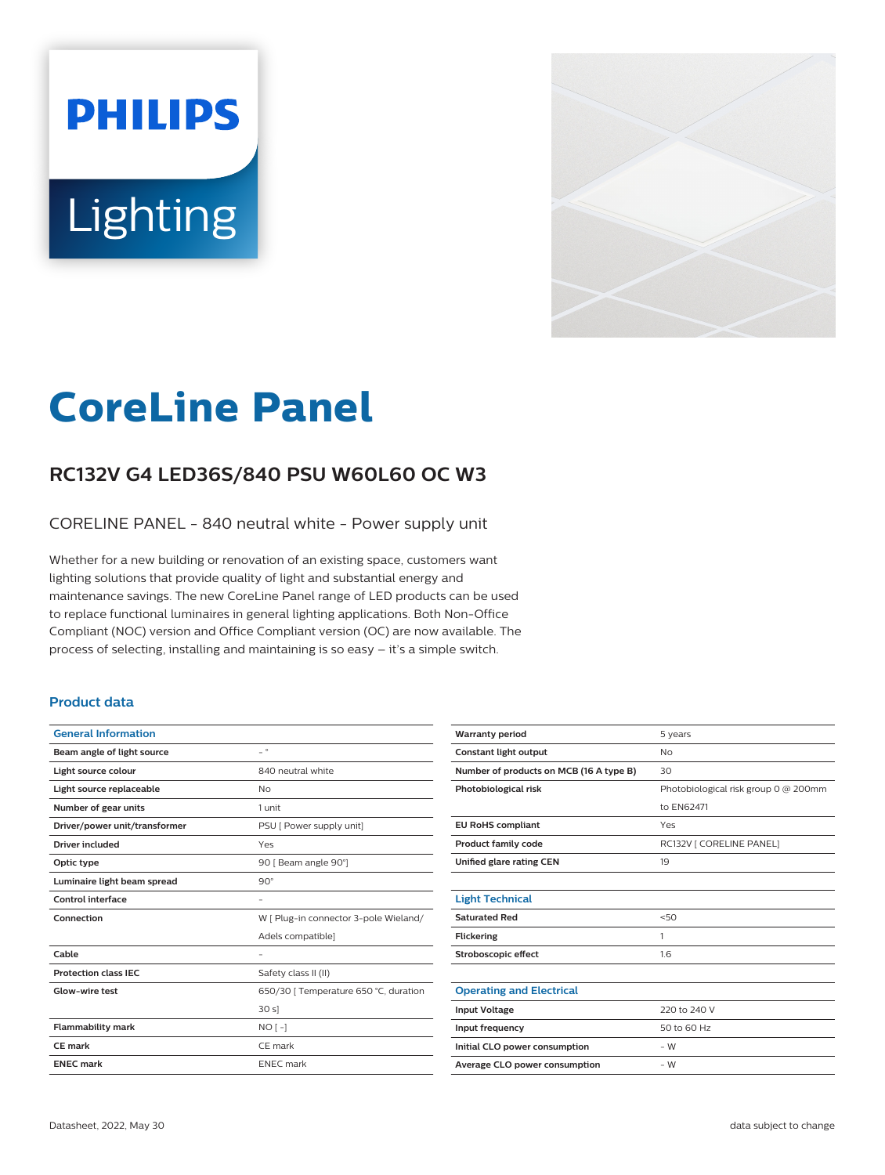# **PHILIPS** Lighting



# **CoreLine Panel**

# **RC132V G4 LED36S/840 PSU W60L60 OC W3**

CORELINE PANEL - 840 neutral white - Power supply unit

Whether for a new building or renovation of an existing space, customers want lighting solutions that provide quality of light and substantial energy and maintenance savings. The new CoreLine Panel range of LED products can be used to replace functional luminaires in general lighting applications. Both Non-Office Compliant (NOC) version and Office Compliant version (OC) are now available. The process of selecting, installing and maintaining is so easy – it's a simple switch.

#### **Product data**

| $ ^{\circ}$                           |
|---------------------------------------|
| 840 neutral white                     |
| <b>No</b>                             |
| 1 unit                                |
| PSU [ Power supply unit]              |
| Yes                                   |
| 90   Beam angle 90°]                  |
| $90^\circ$                            |
|                                       |
| W [ Plug-in connector 3-pole Wieland/ |
| Adels compatible]                     |
|                                       |
| Safety class II (II)                  |
| 650/30   Temperature 650 °C, duration |
| 30 s                                  |
| $NO[-]$                               |
| CE mark                               |
| <b>ENEC</b> mark                      |
|                                       |

| <b>Warranty period</b>                  | 5 years                              |
|-----------------------------------------|--------------------------------------|
| Constant light output                   | <b>No</b>                            |
| Number of products on MCB (16 A type B) | 30                                   |
| Photobiological risk                    | Photobiological risk group 0 @ 200mm |
|                                         | to EN62471                           |
| <b>EU RoHS compliant</b>                | Yes                                  |
| <b>Product family code</b>              | RC132V [ CORELINE PANEL]             |
| Unified glare rating CEN                | 19                                   |
|                                         |                                      |
| <b>Light Technical</b>                  |                                      |
| <b>Saturated Red</b>                    | 50                                   |
| <b>Flickering</b>                       | 1                                    |
| Stroboscopic effect                     | 1.6                                  |
|                                         |                                      |
| <b>Operating and Electrical</b>         |                                      |
| <b>Input Voltage</b>                    | 220 to 240 V                         |
| Input frequency                         | 50 to 60 Hz                          |
| Initial CLO power consumption           | $-W$                                 |
| Average CLO power consumption           | $-W$                                 |
|                                         |                                      |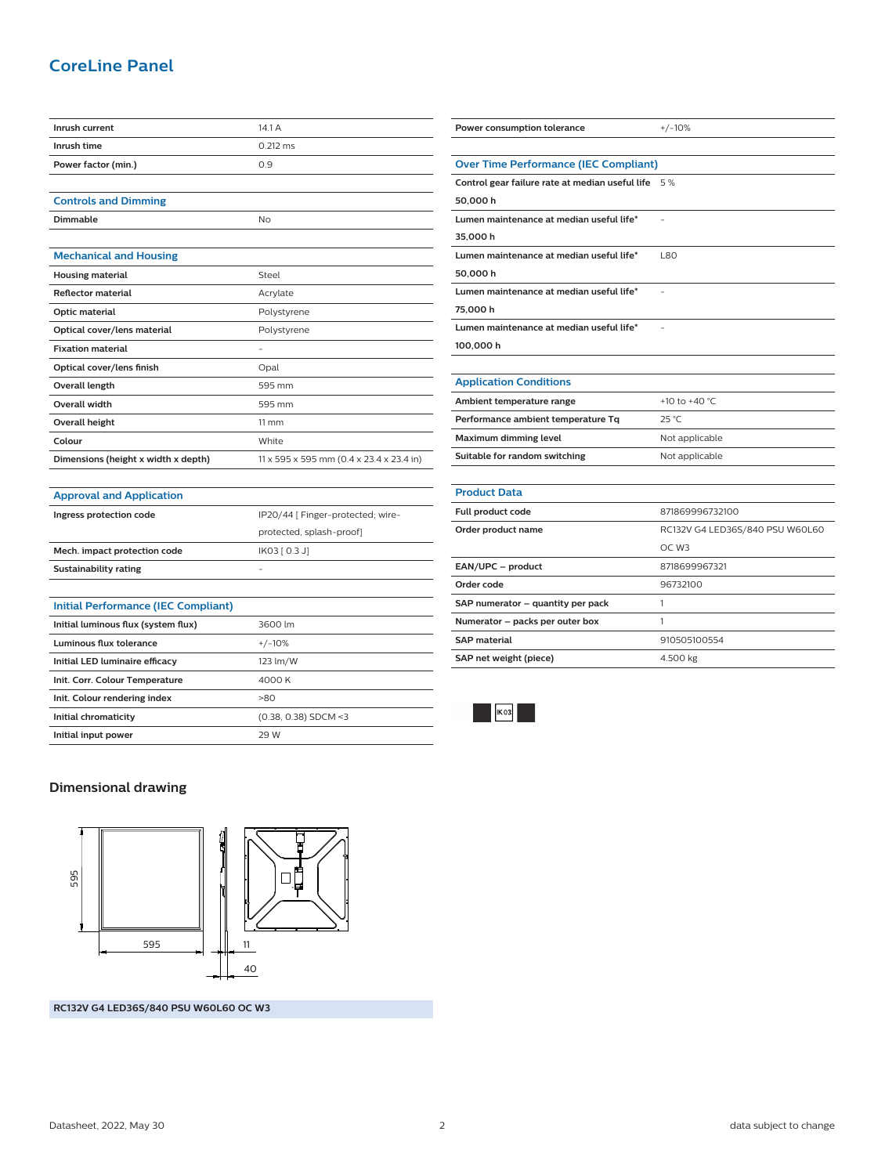## **CoreLine Panel**

| Inrush current                      | 14.1 A                                   |
|-------------------------------------|------------------------------------------|
| Inrush time                         | $0.212$ ms                               |
| Power factor (min.)                 | 0.9                                      |
|                                     |                                          |
| <b>Controls and Dimming</b>         |                                          |
| Dimmable                            | No                                       |
|                                     |                                          |
| <b>Mechanical and Housing</b>       |                                          |
| <b>Housing material</b>             | Steel                                    |
| <b>Reflector material</b>           | Acrylate                                 |
| Optic material                      | Polystyrene                              |
| Optical cover/lens material         | Polystyrene                              |
| <b>Fixation material</b>            |                                          |
| Optical cover/lens finish           | Opal                                     |
| <b>Overall length</b>               | 595 mm                                   |
| Overall width                       | 595 mm                                   |
| <b>Overall height</b>               | $11 \, \text{mm}$                        |
| Colour                              | White                                    |
| Dimensions (height x width x depth) | 11 x 595 x 595 mm (0.4 x 23.4 x 23.4 in) |
|                                     |                                          |
| <b>Approval and Application</b>     |                                          |
| Ingress protection code             | IP20/44 [ Finger-protected; wire-        |
|                                     | protected, splash-proof]                 |
| Mech. impact protection code        | IK03 [ 0.3 J]                            |
| <b>Sustainability rating</b>        | $\overline{\phantom{0}}$                 |

| <b>Initial Performance (IEC Compliant)</b> |                        |
|--------------------------------------------|------------------------|
| Initial luminous flux (system flux)        | 3600 lm                |
| Luminous flux tolerance                    | $+/-10%$               |
| Initial LED luminaire efficacy             | 123 lm/W               |
| Init. Corr. Colour Temperature             | 4000 K                 |
| Init. Colour rendering index               | >80                    |
| Initial chromaticity                       | $(0.38, 0.38)$ SDCM <3 |
| Initial input power                        | 29 W                   |

| <b>Over Time Performance (IEC Compliant)</b>       |                                 |
|----------------------------------------------------|---------------------------------|
| Control gear failure rate at median useful life 5% |                                 |
| 50,000 h                                           |                                 |
| Lumen maintenance at median useful life*           |                                 |
| 35,000 h                                           |                                 |
| Lumen maintenance at median useful life*           | <b>L80</b>                      |
| 50,000 h                                           |                                 |
| Lumen maintenance at median useful life*           |                                 |
| 75,000 h                                           |                                 |
| Lumen maintenance at median useful life*           |                                 |
| 100,000 h                                          |                                 |
|                                                    |                                 |
| <b>Application Conditions</b>                      |                                 |
| Ambient temperature range                          | +10 to +40 $^{\circ}$ C.        |
| Performance ambient temperature Tq                 | $25^{\circ}$ C                  |
| Maximum dimming level                              | Not applicable                  |
| Suitable for random switching                      | Not applicable                  |
|                                                    |                                 |
| <b>Product Data</b>                                |                                 |
| Full product code                                  | 871869996732100                 |
| Order product name                                 | RC132V G4 LED36S/840 PSU W60L60 |
|                                                    | OC W <sub>3</sub>               |
| EAN/UPC - product                                  | 8718699967321                   |
| Order code                                         | 96732100                        |
| SAP numerator - quantity per pack                  | 1                               |
| Numerator - packs per outer box                    | 1                               |
| <b>SAP material</b>                                | 910505100554                    |
| SAP net weight (piece)                             | 4.500 kg                        |

**Power consumption tolerance**  $+/-10\%$ 



#### **Dimensional drawing**



**RC132V G4 LED36S/840 PSU W60L60 OC W3**